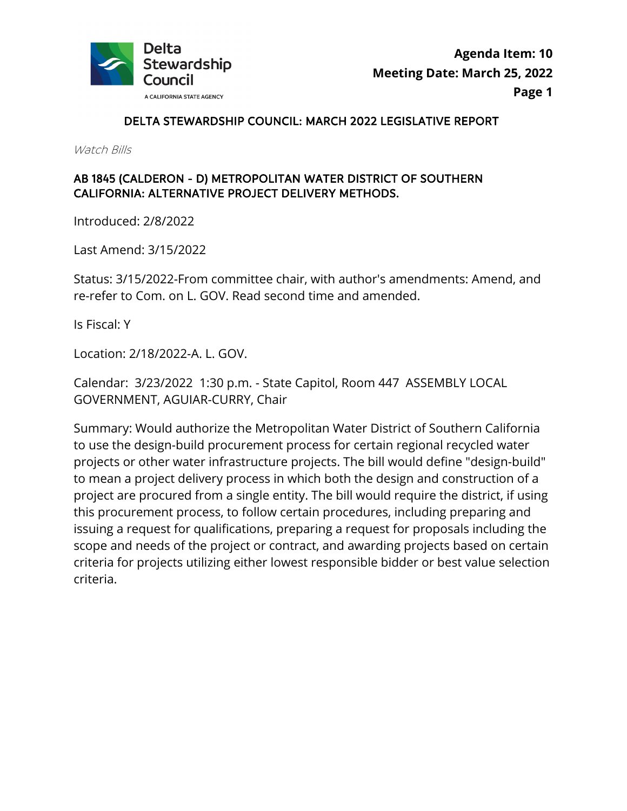

# DELTA STEWARDSHIP COUNCIL: MARCH 2022 LEGISLATIVE REPORT

Watch Bills

# AB 1845 (CALDERON - D) METROPOLITAN WATER DISTRICT OF SOUTHERN CALIFORNIA: ALTERNATIVE PROJECT DELIVERY METHODS.

Introduced: 2/8/2022

Last Amend: 3/15/2022

Status: 3/15/2022-From committee chair, with author's amendments: Amend, and re-refer to Com. on L. GOV. Read second time and amended.

Is Fiscal: Y

Location: 2/18/2022-A. L. GOV.

 Calendar: 3/23/2022 1:30 p.m. - State Capitol, Room 447 ASSEMBLY LOCAL GOVERNMENT, AGUIAR-CURRY, Chair

 Summary: Would authorize the Metropolitan Water District of Southern California to use the design-build procurement process for certain regional recycled water projects or other water infrastructure projects. The bill would define "design-build" to mean a project delivery process in which both the design and construction of a project are procured from a single entity. The bill would require the district, if using this procurement process, to follow certain procedures, including preparing and issuing a request for qualifications, preparing a request for proposals including the scope and needs of the project or contract, and awarding projects based on certain criteria for projects utilizing either lowest responsible bidder or best value selection criteria.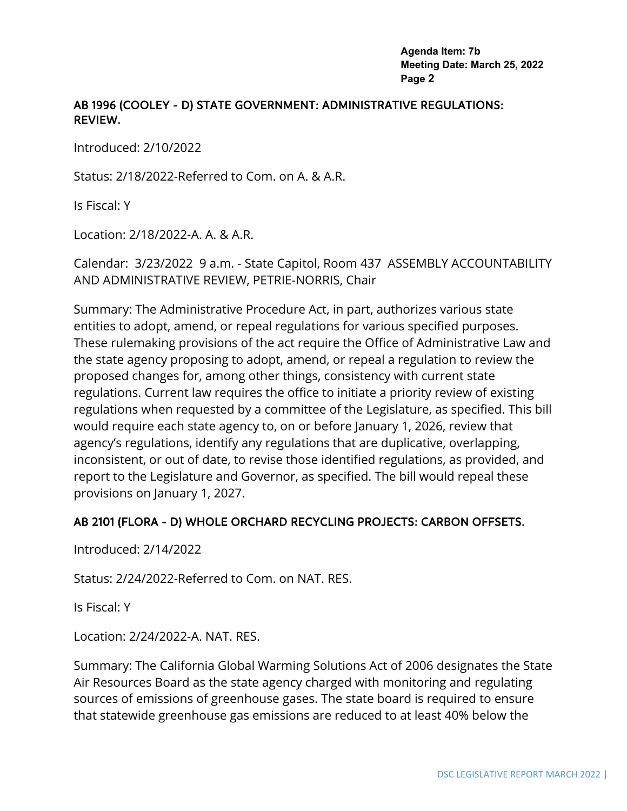## AB 1996 (COOLEY - D) STATE GOVERNMENT: ADMINISTRATIVE REGULATIONS: REVIEW.

Introduced: 2/10/2022

Status: 2/18/2022-Referred to Com. on A. & A.R.

Is Fiscal: Y

Location: 2/18/2022-A. A. & A.R.

 Calendar: 3/23/2022 9 a.m. - State Capitol, Room 437 ASSEMBLY ACCOUNTABILITY AND ADMINISTRATIVE REVIEW, PETRIE-NORRIS, Chair

 These rulemaking provisions of the act require the Office of Administrative Law and the state agency proposing to adopt, amend, or repeal a regulation to review the would require each state agency to, on or before January 1, 2026, review that Summary: The Administrative Procedure Act, in part, authorizes various state entities to adopt, amend, or repeal regulations for various specified purposes. proposed changes for, among other things, consistency with current state regulations. Current law requires the office to initiate a priority review of existing regulations when requested by a committee of the Legislature, as specified. This bill agency's regulations, identify any regulations that are duplicative, overlapping, inconsistent, or out of date, to revise those identified regulations, as provided, and report to the Legislature and Governor, as specified. The bill would repeal these provisions on January 1, 2027.

# AB 2101 (FLORA - D) WHOLE ORCHARD RECYCLING PROJECTS: CARBON OFFSETS.

Introduced: 2/14/2022

Status: 2/24/2022-Referred to Com. on NAT. RES.

Is Fiscal: Y

Location: 2/24/2022-A. NAT. RES.

Summary: The California Global Warming Solutions Act of 2006 designates the State Air Resources Board as the state agency charged with monitoring and regulating sources of emissions of greenhouse gases. The state board is required to ensure that statewide greenhouse gas emissions are reduced to at least 40% below the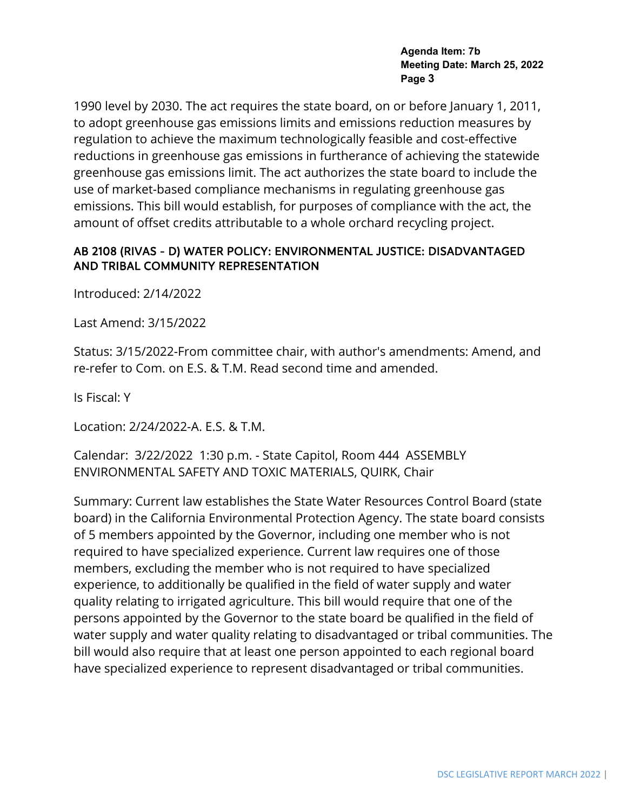1990 level by 2030. The act requires the state board, on or before January 1, 2011, to adopt greenhouse gas emissions limits and emissions reduction measures by regulation to achieve the maximum technologically feasible and cost-effective reductions in greenhouse gas emissions in furtherance of achieving the statewide greenhouse gas emissions limit. The act authorizes the state board to include the use of market-based compliance mechanisms in regulating greenhouse gas emissions. This bill would establish, for purposes of compliance with the act, the amount of offset credits attributable to a whole orchard recycling project.

## AB 2108 (RIVAS - D) WATER POLICY: ENVIRONMENTAL JUSTICE: DISADVANTAGED AND TRIBAL COMMUNITY REPRESENTATION

Introduced: 2/14/2022

Last Amend: 3/15/2022

Status: 3/15/2022-From committee chair, with author's amendments: Amend, and re-refer to Com. on E.S. & T.M. Read second time and amended.

Is Fiscal: Y

Location: 2/24/2022-A. E.S. & T.M.

 Calendar: 3/22/2022 1:30 p.m. - State Capitol, Room 444 ASSEMBLY ENVIRONMENTAL SAFETY AND TOXIC MATERIALS, QUIRK, Chair

 of 5 members appointed by the Governor, including one member who is not quality relating to irrigated agriculture. This bill would require that one of the water supply and water quality relating to disadvantaged or tribal communities. The Summary: Current law establishes the State Water Resources Control Board (state board) in the California Environmental Protection Agency. The state board consists required to have specialized experience. Current law requires one of those members, excluding the member who is not required to have specialized experience, to additionally be qualified in the field of water supply and water persons appointed by the Governor to the state board be qualified in the field of bill would also require that at least one person appointed to each regional board have specialized experience to represent disadvantaged or tribal communities.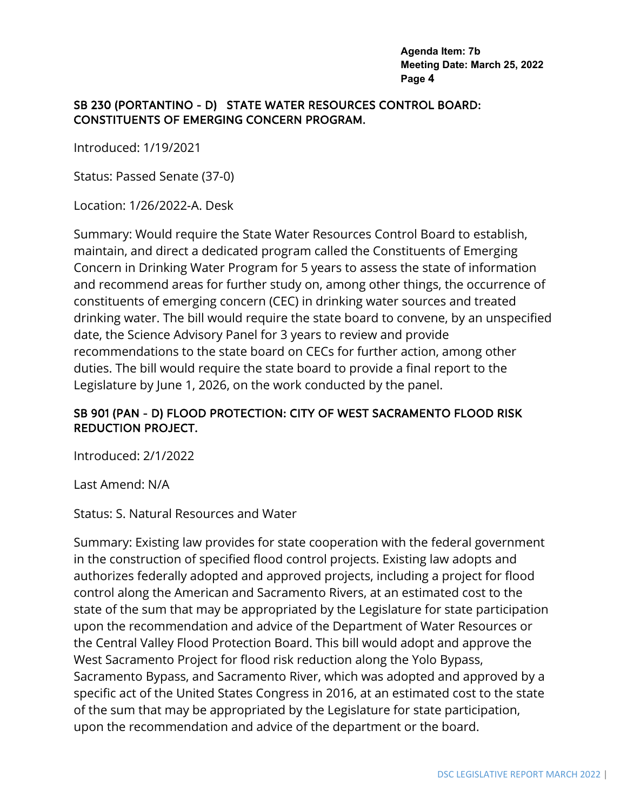### SB 230 (PORTANTINO - D) STATE WATER RESOURCES CONTROL BOARD: CONSTITUENTS OF EMERGING CONCERN PROGRAM.

Introduced: 1/19/2021

Status: Passed Senate (37-0)

Location: 1/26/2022-A. Desk

Summary: Would require the State Water Resources Control Board to establish, maintain, and direct a dedicated program called the Constituents of Emerging Concern in Drinking Water Program for 5 years to assess the state of information and recommend areas for further study on, among other things, the occurrence of constituents of emerging concern (CEC) in drinking water sources and treated drinking water. The bill would require the state board to convene, by an unspecified date, the Science Advisory Panel for 3 years to review and provide recommendations to the state board on CECs for further action, among other duties. The bill would require the state board to provide a final report to the Legislature by June 1, 2026, on the work conducted by the panel.

## SB 901 (PAN - D) FLOOD PROTECTION: CITY OF WEST SACRAMENTO FLOOD RISK REDUCTION PROJECT.

Introduced: 2/1/2022

Last Amend: N/A

#### Status: S. Natural Resources and Water

 Sacramento Bypass, and Sacramento River, which was adopted and approved by a specific act of the United States Congress in 2016, at an estimated cost to the state Summary: Existing law provides for state cooperation with the federal government in the construction of specified flood control projects. Existing law adopts and authorizes federally adopted and approved projects, including a project for flood control along the American and Sacramento Rivers, at an estimated cost to the state of the sum that may be appropriated by the Legislature for state participation upon the recommendation and advice of the Department of Water Resources or the Central Valley Flood Protection Board. This bill would adopt and approve the West Sacramento Project for flood risk reduction along the Yolo Bypass, of the sum that may be appropriated by the Legislature for state participation, upon the recommendation and advice of the department or the board.